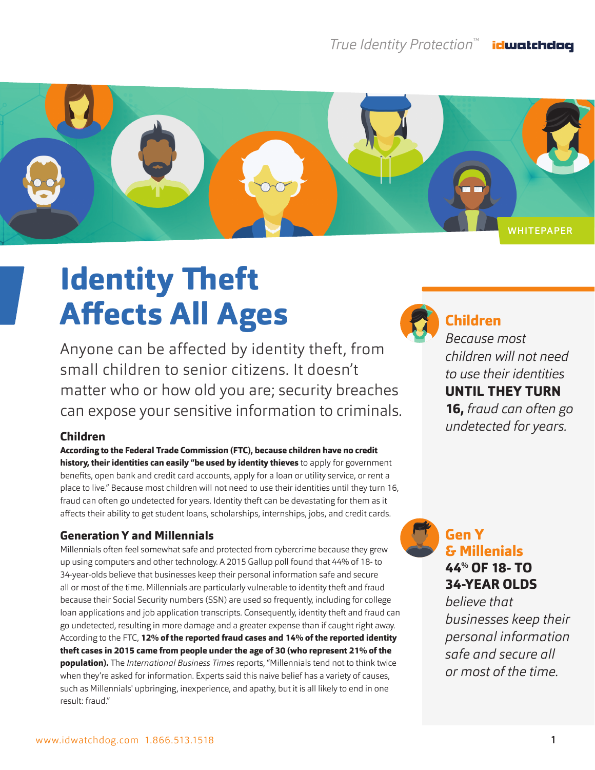#### *True Identity Protection™* idwatchdog



# **Identity Theft Affects All Ages**

Anyone can be affected by identity theft, from small children to senior citizens. It doesn't matter who or how old you are; security breaches can expose your sensitive information to criminals.

## **Children**

**According to the Federal Trade Commission (FTC), because children have no credit history, their identities can easily "be used by identity thieves** to apply for government benefits, open bank and credit card accounts, apply for a loan or utility service, or rent a place to live." Because most children will not need to use their identities until they turn 16, fraud can often go undetected for years. Identity theft can be devastating for them as it affects their ability to get student loans, scholarships, internships, jobs, and credit cards.

## **Generation Y and Millennials**

Millennials often feel somewhat safe and protected from cybercrime because they grew up using computers and other technology. A 2015 Gallup poll found that 44% of 18- to 34-year-olds believe that businesses keep their personal information safe and secure all or most of the time. Millennials are particularly vulnerable to identity theft and fraud because their Social Security numbers (SSN) are used so frequently, including for college loan applications and job application transcripts. Consequently, identity theft and fraud can go undetected, resulting in more damage and a greater expense than if caught right away. According to the FTC, **12% of the reported fraud cases and 14% of the reported identity theft cases in 2015 came from people under the age of 30 (who represent 21% of the population).** The *International Business Times* reports, "Millennials tend not to think twice when they're asked for information. Experts said this naive belief has a variety of causes, such as Millennials' upbringing, inexperience, and apathy, but it is all likely to end in one result: fraud."



# **Children**

*Because most children will not need to use their identities*  **UNTIL THEY TURN 16,** *fraud can often go undetected for years.*

**Gen Y & Millenials 44% OF 18- TO 34-YEAR OLDS** 

*believe that businesses keep their personal information safe and secure all or most of the time.*